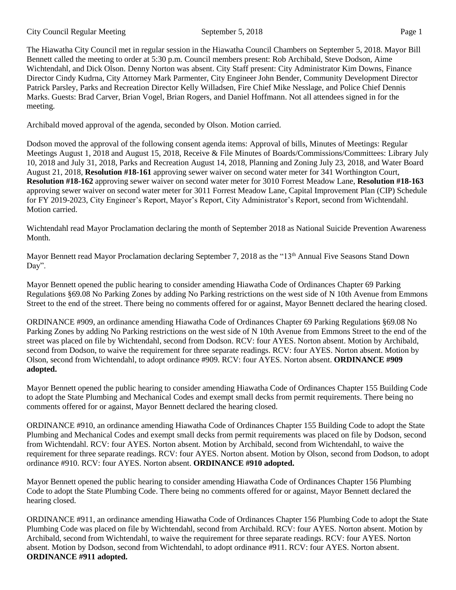The Hiawatha City Council met in regular session in the Hiawatha Council Chambers on September 5, 2018. Mayor Bill Bennett called the meeting to order at 5:30 p.m. Council members present: Rob Archibald, Steve Dodson, Aime Wichtendahl, and Dick Olson. Denny Norton was absent. City Staff present: City Administrator Kim Downs, Finance Director Cindy Kudrna, City Attorney Mark Parmenter, City Engineer John Bender, Community Development Director Patrick Parsley, Parks and Recreation Director Kelly Willadsen, Fire Chief Mike Nesslage, and Police Chief Dennis Marks. Guests: Brad Carver, Brian Vogel, Brian Rogers, and Daniel Hoffmann. Not all attendees signed in for the meeting.

Archibald moved approval of the agenda, seconded by Olson. Motion carried.

Dodson moved the approval of the following consent agenda items: Approval of bills, Minutes of Meetings: Regular Meetings August 1, 2018 and August 15, 2018, Receive & File Minutes of Boards/Commissions/Committees: Library July 10, 2018 and July 31, 2018, Parks and Recreation August 14, 2018, Planning and Zoning July 23, 2018, and Water Board August 21, 2018, **Resolution #18-161** approving sewer waiver on second water meter for 341 Worthington Court, **Resolution #18-162** approving sewer waiver on second water meter for 3010 Forrest Meadow Lane, **Resolution #18-163** approving sewer waiver on second water meter for 3011 Forrest Meadow Lane, Capital Improvement Plan (CIP) Schedule for FY 2019-2023, City Engineer's Report, Mayor's Report, City Administrator's Report, second from Wichtendahl. Motion carried.

Wichtendahl read Mayor Proclamation declaring the month of September 2018 as National Suicide Prevention Awareness Month.

Mayor Bennett read Mayor Proclamation declaring September 7, 2018 as the "13<sup>th</sup> Annual Five Seasons Stand Down Day".

Mayor Bennett opened the public hearing to consider amending Hiawatha Code of Ordinances Chapter 69 Parking Regulations §69.08 No Parking Zones by adding No Parking restrictions on the west side of N 10th Avenue from Emmons Street to the end of the street. There being no comments offered for or against, Mayor Bennett declared the hearing closed.

ORDINANCE #909, an ordinance amending Hiawatha Code of Ordinances Chapter 69 Parking Regulations §69.08 No Parking Zones by adding No Parking restrictions on the west side of N 10th Avenue from Emmons Street to the end of the street was placed on file by Wichtendahl, second from Dodson. RCV: four AYES. Norton absent. Motion by Archibald, second from Dodson, to waive the requirement for three separate readings. RCV: four AYES. Norton absent. Motion by Olson, second from Wichtendahl, to adopt ordinance #909. RCV: four AYES. Norton absent. **ORDINANCE #909 adopted.**

Mayor Bennett opened the public hearing to consider amending Hiawatha Code of Ordinances Chapter 155 Building Code to adopt the State Plumbing and Mechanical Codes and exempt small decks from permit requirements. There being no comments offered for or against, Mayor Bennett declared the hearing closed.

ORDINANCE #910, an ordinance amending Hiawatha Code of Ordinances Chapter 155 Building Code to adopt the State Plumbing and Mechanical Codes and exempt small decks from permit requirements was placed on file by Dodson, second from Wichtendahl. RCV: four AYES. Norton absent. Motion by Archibald, second from Wichtendahl, to waive the requirement for three separate readings. RCV: four AYES. Norton absent. Motion by Olson, second from Dodson, to adopt ordinance #910. RCV: four AYES. Norton absent. **ORDINANCE #910 adopted.**

Mayor Bennett opened the public hearing to consider amending Hiawatha Code of Ordinances Chapter 156 Plumbing Code to adopt the State Plumbing Code. There being no comments offered for or against, Mayor Bennett declared the hearing closed.

ORDINANCE #911, an ordinance amending Hiawatha Code of Ordinances Chapter 156 Plumbing Code to adopt the State Plumbing Code was placed on file by Wichtendahl, second from Archibald. RCV: four AYES. Norton absent. Motion by Archibald, second from Wichtendahl, to waive the requirement for three separate readings. RCV: four AYES. Norton absent. Motion by Dodson, second from Wichtendahl, to adopt ordinance #911. RCV: four AYES. Norton absent. **ORDINANCE #911 adopted.**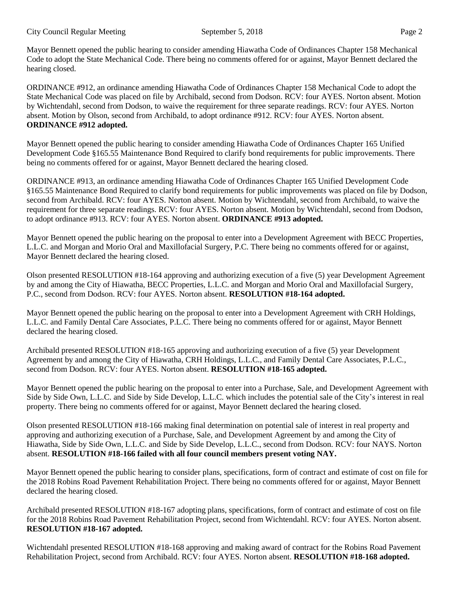Mayor Bennett opened the public hearing to consider amending Hiawatha Code of Ordinances Chapter 158 Mechanical Code to adopt the State Mechanical Code. There being no comments offered for or against, Mayor Bennett declared the hearing closed.

ORDINANCE #912, an ordinance amending Hiawatha Code of Ordinances Chapter 158 Mechanical Code to adopt the State Mechanical Code was placed on file by Archibald, second from Dodson. RCV: four AYES. Norton absent. Motion by Wichtendahl, second from Dodson, to waive the requirement for three separate readings. RCV: four AYES. Norton absent. Motion by Olson, second from Archibald, to adopt ordinance #912. RCV: four AYES. Norton absent. **ORDINANCE #912 adopted.**

Mayor Bennett opened the public hearing to consider amending Hiawatha Code of Ordinances Chapter 165 Unified Development Code §165.55 Maintenance Bond Required to clarify bond requirements for public improvements. There being no comments offered for or against, Mayor Bennett declared the hearing closed.

ORDINANCE #913, an ordinance amending Hiawatha Code of Ordinances Chapter 165 Unified Development Code §165.55 Maintenance Bond Required to clarify bond requirements for public improvements was placed on file by Dodson, second from Archibald. RCV: four AYES. Norton absent. Motion by Wichtendahl, second from Archibald, to waive the requirement for three separate readings. RCV: four AYES. Norton absent. Motion by Wichtendahl, second from Dodson, to adopt ordinance #913. RCV: four AYES. Norton absent. **ORDINANCE #913 adopted.**

Mayor Bennett opened the public hearing on the proposal to enter into a Development Agreement with BECC Properties, L.L.C. and Morgan and Morio Oral and Maxillofacial Surgery, P.C. There being no comments offered for or against, Mayor Bennett declared the hearing closed.

Olson presented RESOLUTION #18-164 approving and authorizing execution of a five (5) year Development Agreement by and among the City of Hiawatha, BECC Properties, L.L.C. and Morgan and Morio Oral and Maxillofacial Surgery, P.C., second from Dodson. RCV: four AYES. Norton absent. **RESOLUTION #18-164 adopted.** 

Mayor Bennett opened the public hearing on the proposal to enter into a Development Agreement with CRH Holdings, L.L.C. and Family Dental Care Associates, P.L.C. There being no comments offered for or against, Mayor Bennett declared the hearing closed.

Archibald presented RESOLUTION #18-165 approving and authorizing execution of a five (5) year Development Agreement by and among the City of Hiawatha, CRH Holdings, L.L.C., and Family Dental Care Associates, P.L.C., second from Dodson. RCV: four AYES. Norton absent. **RESOLUTION #18-165 adopted.** 

Mayor Bennett opened the public hearing on the proposal to enter into a Purchase, Sale, and Development Agreement with Side by Side Own, L.L.C. and Side by Side Develop, L.L.C. which includes the potential sale of the City's interest in real property. There being no comments offered for or against, Mayor Bennett declared the hearing closed.

Olson presented RESOLUTION #18-166 making final determination on potential sale of interest in real property and approving and authorizing execution of a Purchase, Sale, and Development Agreement by and among the City of Hiawatha, Side by Side Own, L.L.C. and Side by Side Develop, L.L.C., second from Dodson. RCV: four NAYS. Norton absent. **RESOLUTION #18-166 failed with all four council members present voting NAY.** 

Mayor Bennett opened the public hearing to consider plans, specifications, form of contract and estimate of cost on file for the 2018 Robins Road Pavement Rehabilitation Project. There being no comments offered for or against, Mayor Bennett declared the hearing closed.

Archibald presented RESOLUTION #18-167 adopting plans, specifications, form of contract and estimate of cost on file for the 2018 Robins Road Pavement Rehabilitation Project, second from Wichtendahl. RCV: four AYES. Norton absent. **RESOLUTION #18-167 adopted.** 

Wichtendahl presented RESOLUTION #18-168 approving and making award of contract for the Robins Road Pavement Rehabilitation Project, second from Archibald. RCV: four AYES. Norton absent. **RESOLUTION #18-168 adopted.**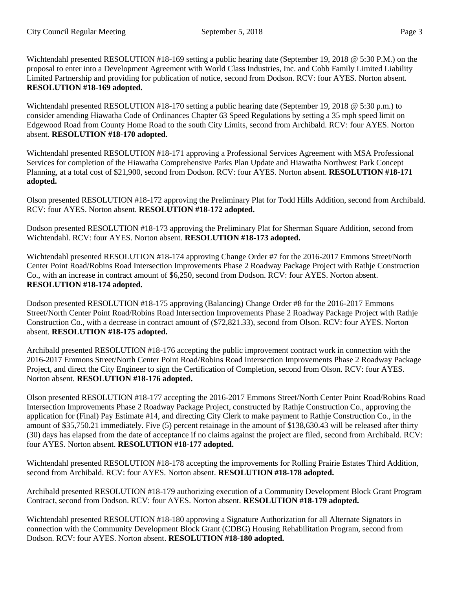Wichtendahl presented RESOLUTION #18-169 setting a public hearing date (September 19, 2018 @ 5:30 P.M.) on the proposal to enter into a Development Agreement with World Class Industries, Inc. and Cobb Family Limited Liability Limited Partnership and providing for publication of notice, second from Dodson. RCV: four AYES. Norton absent. **RESOLUTION #18-169 adopted.** 

Wichtendahl presented RESOLUTION #18-170 setting a public hearing date (September 19, 2018 @ 5:30 p.m.) to consider amending Hiawatha Code of Ordinances Chapter 63 Speed Regulations by setting a 35 mph speed limit on Edgewood Road from County Home Road to the south City Limits, second from Archibald. RCV: four AYES. Norton absent. **RESOLUTION #18-170 adopted.** 

Wichtendahl presented RESOLUTION #18-171 approving a Professional Services Agreement with MSA Professional Services for completion of the Hiawatha Comprehensive Parks Plan Update and Hiawatha Northwest Park Concept Planning, at a total cost of \$21,900, second from Dodson. RCV: four AYES. Norton absent. **RESOLUTION #18-171 adopted.** 

Olson presented RESOLUTION #18-172 approving the Preliminary Plat for Todd Hills Addition, second from Archibald. RCV: four AYES. Norton absent. **RESOLUTION #18-172 adopted.** 

Dodson presented RESOLUTION #18-173 approving the Preliminary Plat for Sherman Square Addition, second from Wichtendahl. RCV: four AYES. Norton absent. **RESOLUTION #18-173 adopted.** 

Wichtendahl presented RESOLUTION #18-174 approving Change Order #7 for the 2016-2017 Emmons Street/North Center Point Road/Robins Road Intersection Improvements Phase 2 Roadway Package Project with Rathje Construction Co., with an increase in contract amount of \$6,250, second from Dodson. RCV: four AYES. Norton absent. **RESOLUTION #18-174 adopted.** 

Dodson presented RESOLUTION #18-175 approving (Balancing) Change Order #8 for the 2016-2017 Emmons Street/North Center Point Road/Robins Road Intersection Improvements Phase 2 Roadway Package Project with Rathje Construction Co., with a decrease in contract amount of (\$72,821.33), second from Olson. RCV: four AYES. Norton absent. **RESOLUTION #18-175 adopted.** 

Archibald presented RESOLUTION #18-176 accepting the public improvement contract work in connection with the 2016-2017 Emmons Street/North Center Point Road/Robins Road Intersection Improvements Phase 2 Roadway Package Project, and direct the City Engineer to sign the Certification of Completion, second from Olson. RCV: four AYES. Norton absent. **RESOLUTION #18-176 adopted.** 

Olson presented RESOLUTION #18-177 accepting the 2016-2017 Emmons Street/North Center Point Road/Robins Road Intersection Improvements Phase 2 Roadway Package Project, constructed by Rathje Construction Co., approving the application for (Final) Pay Estimate #14, and directing City Clerk to make payment to Rathje Construction Co., in the amount of \$35,750.21 immediately. Five (5) percent retainage in the amount of \$138,630.43 will be released after thirty (30) days has elapsed from the date of acceptance if no claims against the project are filed, second from Archibald. RCV: four AYES. Norton absent. **RESOLUTION #18-177 adopted.** 

Wichtendahl presented RESOLUTION #18-178 accepting the improvements for Rolling Prairie Estates Third Addition, second from Archibald. RCV: four AYES. Norton absent. **RESOLUTION #18-178 adopted.** 

Archibald presented RESOLUTION #18-179 authorizing execution of a Community Development Block Grant Program Contract, second from Dodson. RCV: four AYES. Norton absent. **RESOLUTION #18-179 adopted.** 

Wichtendahl presented RESOLUTION #18-180 approving a Signature Authorization for all Alternate Signators in connection with the Community Development Block Grant (CDBG) Housing Rehabilitation Program, second from Dodson. RCV: four AYES. Norton absent. **RESOLUTION #18-180 adopted.**